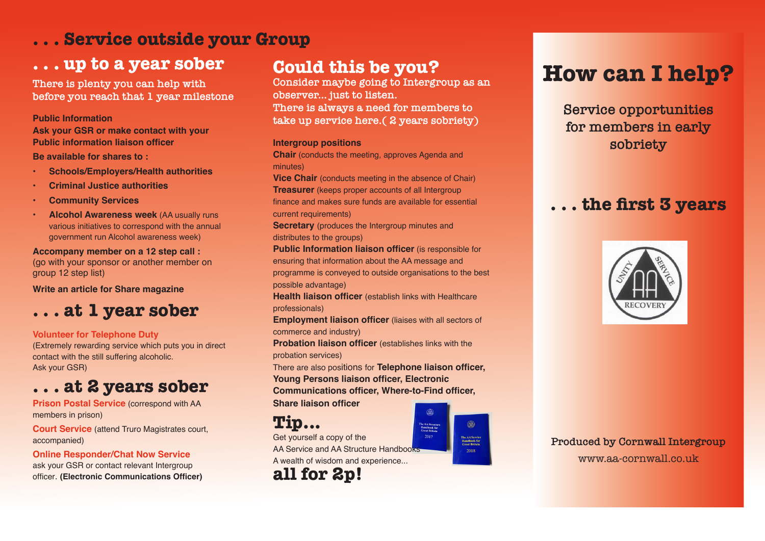# **. . . Service outside your Group**

# **. . . up to a year sober Could this be you?**

**There is plenty you can help with before you reach that 1 year milestone**

## **Public Information**

**Ask your GSR or make contact with your Public information liaison officer**

**Be available for shares to :**

- **• Schools/Employers/Health authorities**
- **• Criminal Justice authorities**
- **• Community Services**
- **• Alcohol Awareness week** (AA usually runs various initiatives to correspond with the annual government run Alcohol awareness week)

## **Accompany member on a 12 step call :**

(go with your sponsor or another member on group 12 step list)

**Write an article for Share magazine**

# **. . . at 1 year sober**

## **Volunteer for Telephone Duty**

(Extremely rewarding service which puts you in direct contact with the still suffering alcoholic. Ask your GSR)

# **. . . at 2 years sober**

**Prison Postal Service** (correspond with AA members in prison)

**Court Service** (attend Truro Magistrates court, accompanied)

**Online Responder/Chat Now Service** ask your GSR or contact relevant Intergroup officer. **(Electronic Communications Officer)**

**Consider maybe going to Intergroup as an observer... just to listen. There is always a need for members to take up service here.( 2 years sobriety)**

## **Intergroup positions**

**Chair** (conducts the meeting, approves Agenda and minutes)

**Vice Chair** (conducts meeting in the absence of Chair) **Treasurer** (keeps proper accounts of all Intergroup finance and makes sure funds are available for essential current requirements)

**Secretary** (produces the Intergroup minutes and distributes to the groups)

**Public Information liaison officer** (is responsible for ensuring that information about the AA message and programme is conveyed to outside organisations to the best possible advantage)

**Health liaison officer** (establish links with Healthcare professionals)

**Employment liaison officer** (liaises with all sectors of commerce and industry)

**Probation liaison officer** (establishes links with the probation services)

There are also positions for **Telephone liaison officer, Young Persons liaison officer, Electronic** 

**Communications officer, Where-to-Find officer,** 

**Share liaison officer**

**Tip...**

Get yourself a copy of the

AA Service and AA Structure Handbooks A wealth of wisdom and experience...



## @ **The AA Service**<br>Handbook for<br>Great Britain 2018

# **How can I help?**

**Service opportunities for members in early sobriety**

# **. . . the first 3 years**



**Produced by Cornwall Intergroup** www.aa-cornwall.co.uk